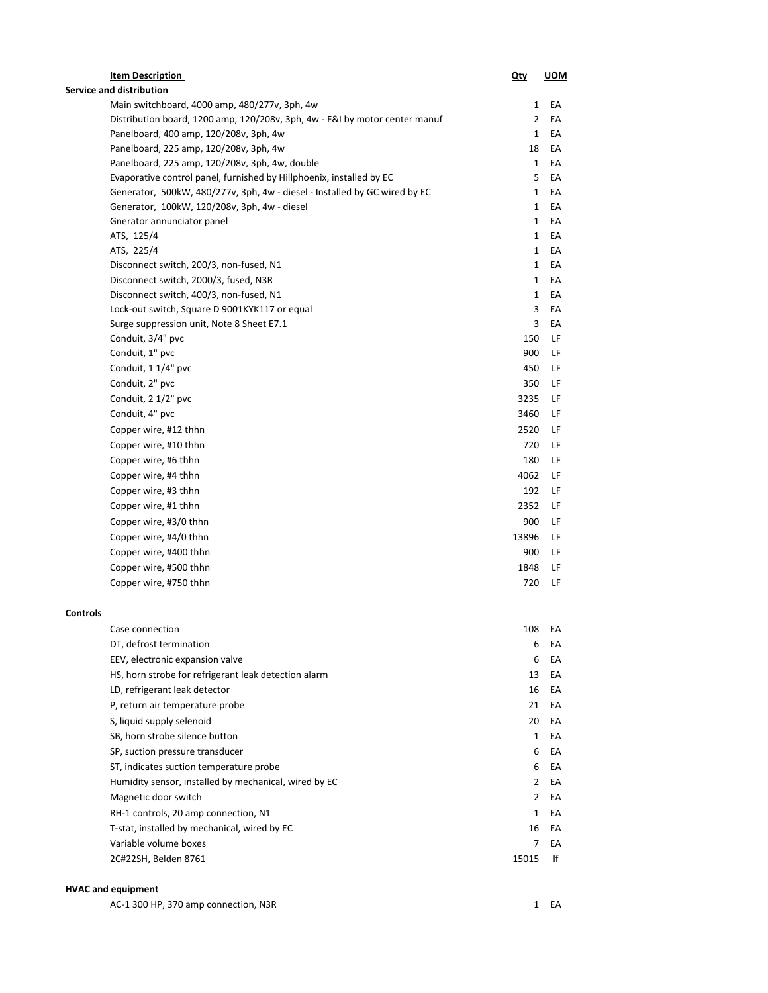|          | <b>Item Description</b>                                                     | <u>Qty</u>     | <b>UOM</b> |
|----------|-----------------------------------------------------------------------------|----------------|------------|
|          | Service and distribution                                                    |                |            |
|          | Main switchboard, 4000 amp, 480/277v, 3ph, 4w                               | 1              | EA         |
|          | Distribution board, 1200 amp, 120/208v, 3ph, 4w - F&I by motor center manuf | $\mathbf{2}$   | EA         |
|          | Panelboard, 400 amp, 120/208v, 3ph, 4w                                      | $\mathbf{1}$   | EA         |
|          | Panelboard, 225 amp, 120/208v, 3ph, 4w                                      | 18             | EА         |
|          | Panelboard, 225 amp, 120/208v, 3ph, 4w, double                              | $\mathbf{1}$   | EA         |
|          | Evaporative control panel, furnished by Hillphoenix, installed by EC        | 5              | EA         |
|          | Generator, 500kW, 480/277v, 3ph, 4w - diesel - Installed by GC wired by EC  | $\mathbf{1}$   | EA         |
|          | Generator, 100kW, 120/208v, 3ph, 4w - diesel                                | $\mathbf{1}$   | EA         |
|          | Gnerator annunciator panel                                                  | 1              | EА         |
|          | ATS, 125/4                                                                  | 1              | EА         |
|          | ATS, 225/4                                                                  | $\mathbf{1}$   | EА         |
|          | Disconnect switch, 200/3, non-fused, N1                                     | $\mathbf{1}$   | EA         |
|          | Disconnect switch, 2000/3, fused, N3R                                       | $\mathbf{1}$   | EA         |
|          | Disconnect switch, 400/3, non-fused, N1                                     | $\mathbf{1}$   | EA         |
|          | Lock-out switch, Square D 9001KYK117 or equal                               | 3              | EA         |
|          | Surge suppression unit, Note 8 Sheet E7.1                                   | 3              | EА         |
|          | Conduit, 3/4" pvc                                                           | 150            | LF         |
|          | Conduit, 1" pvc                                                             | 900            | LF         |
|          | Conduit, 1 1/4" pvc                                                         | 450            | LF         |
|          | Conduit, 2" pvc                                                             | 350            | LF         |
|          | Conduit, 2 1/2" pvc                                                         | 3235           | LF         |
|          | Conduit, 4" pvc                                                             | 3460           | LF         |
|          | Copper wire, #12 thhn                                                       | 2520           | LF         |
|          | Copper wire, #10 thhn                                                       | 720            | LF         |
|          | Copper wire, #6 thhn                                                        | 180            | LF         |
|          | Copper wire, #4 thhn                                                        | 4062           | LF         |
|          | Copper wire, #3 thhn                                                        | 192            | LF         |
|          | Copper wire, #1 thhn                                                        | 2352           | LF         |
|          | Copper wire, #3/0 thhn                                                      | 900            | LF         |
|          | Copper wire, #4/0 thhn                                                      | 13896          | LF         |
|          | Copper wire, #400 thhn                                                      | 900            | LF         |
|          | Copper wire, #500 thhn                                                      | 1848           | LF         |
|          | Copper wire, #750 thhn                                                      | 720            | LF         |
|          |                                                                             |                |            |
| Controls |                                                                             |                |            |
|          | Case connection                                                             | 108            | EА         |
|          | DT, defrost termination                                                     | 6              | EA         |
|          | EEV, electronic expansion valve                                             | 6              | EА         |
|          | HS, horn strobe for refrigerant leak detection alarm                        | 13             | EА         |
|          | LD, refrigerant leak detector                                               | 16             | EА         |
|          | P, return air temperature probe                                             | 21             | EА         |
|          | S, liquid supply selenoid                                                   | 20             | EА         |
|          | SB, horn strobe silence button                                              | $\mathbf{1}$   | ЕA         |
|          | SP, suction pressure transducer                                             | 6              | ЕA         |
|          | ST, indicates suction temperature probe                                     | 6              | ЕA         |
|          | Humidity sensor, installed by mechanical, wired by EC                       | $\mathbf{2}$   | EA         |
|          | Magnetic door switch                                                        | $\mathbf{2}$   | EA         |
|          | RH-1 controls, 20 amp connection, N1                                        | $\mathbf{1}$   | EA         |
|          | T-stat, installed by mechanical, wired by EC                                | 16             | ЕA         |
|          | Variable volume boxes                                                       | $\overline{7}$ | EA         |
|          | 2C#22SH, Belden 8761                                                        | 15015          | lf         |
|          |                                                                             |                |            |

## **HVAC and equipment**

| AC-1 300 HP. 370 amp connection. N3R<br>1 EA |  |  |  |
|----------------------------------------------|--|--|--|
|----------------------------------------------|--|--|--|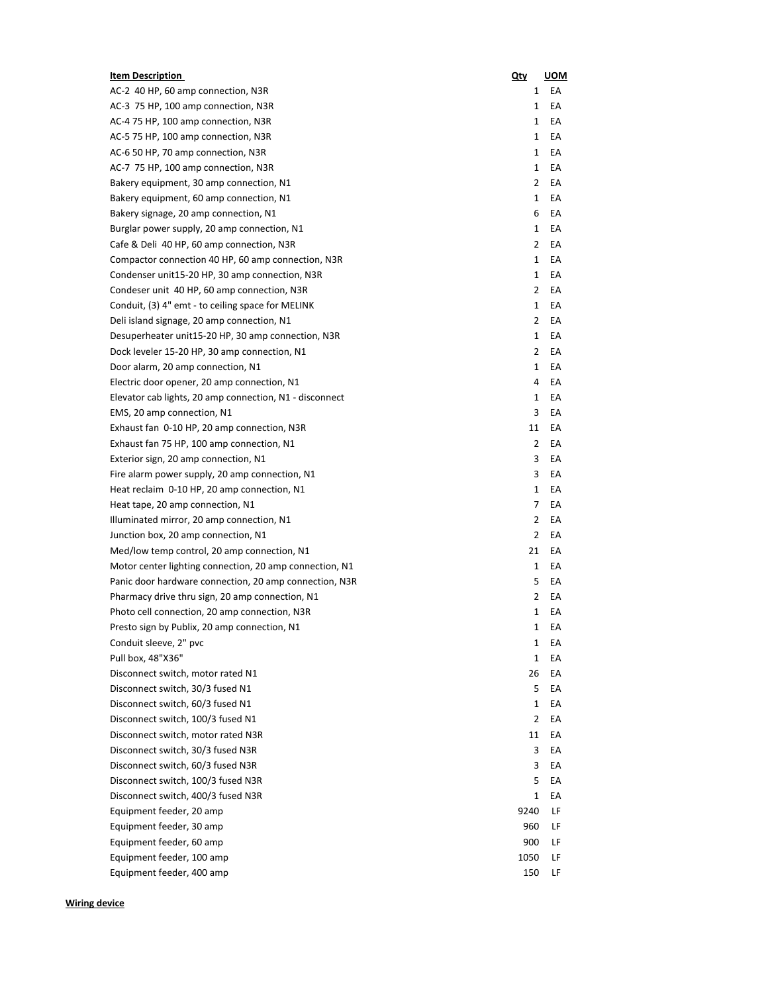| <b>Item Description</b>                                                | Qty            | <b>UOM</b> |
|------------------------------------------------------------------------|----------------|------------|
| AC-2 40 HP, 60 amp connection, N3R                                     | 1              | EA         |
| AC-3 75 HP, 100 amp connection, N3R                                    | 1              | EA         |
| AC-4 75 HP, 100 amp connection, N3R                                    | 1              | EA         |
| AC-5 75 HP, 100 amp connection, N3R                                    | 1              | EA         |
| AC-6 50 HP, 70 amp connection, N3R                                     | 1              | EA         |
| AC-7 75 HP, 100 amp connection, N3R                                    | 1              | EА         |
| Bakery equipment, 30 amp connection, N1                                | 2              | EА         |
| Bakery equipment, 60 amp connection, N1                                | $\mathbf{1}$   | EA         |
| Bakery signage, 20 amp connection, N1                                  | 6              | EА         |
| Burglar power supply, 20 amp connection, N1                            | 1              | EA         |
| Cafe & Deli 40 HP, 60 amp connection, N3R                              | 2              | EА         |
| Compactor connection 40 HP, 60 amp connection, N3R                     | 1              | ЕA         |
| Condenser unit15-20 HP, 30 amp connection, N3R                         | 1              | ЕA         |
| Condeser unit 40 HP, 60 amp connection, N3R                            | 2              | ЕA         |
| Conduit, (3) 4" emt - to ceiling space for MELINK                      | 1              | ЕA         |
| Deli island signage, 20 amp connection, N1                             | 2              | EA         |
| Desuperheater unit15-20 HP, 30 amp connection, N3R                     | 1              | EA         |
| Dock leveler 15-20 HP, 30 amp connection, N1                           | 2              | EA         |
| Door alarm, 20 amp connection, N1                                      | 1              | EA         |
| Electric door opener, 20 amp connection, N1                            | 4              | EA         |
| Elevator cab lights, 20 amp connection, N1 - disconnect                | 1              | ЕA         |
| EMS, 20 amp connection, N1                                             | 3              | EA         |
| Exhaust fan 0-10 HP, 20 amp connection, N3R                            | 11             | EA         |
| Exhaust fan 75 HP, 100 amp connection, N1                              | 2              | EА         |
| Exterior sign, 20 amp connection, N1                                   | 3              | EА         |
| Fire alarm power supply, 20 amp connection, N1                         | 3              | EА         |
| Heat reclaim 0-10 HP, 20 amp connection, N1                            | 1              | EА         |
| Heat tape, 20 amp connection, N1                                       | 7              | EA         |
| Illuminated mirror, 20 amp connection, N1                              | 2              | EA         |
| Junction box, 20 amp connection, N1                                    | $\overline{2}$ | EA         |
| Med/low temp control, 20 amp connection, N1                            | 21             | EА         |
| Motor center lighting connection, 20 amp connection, N1                | 1              | EА         |
| Panic door hardware connection, 20 amp connection, N3R                 | 5              | EА         |
| Pharmacy drive thru sign, 20 amp connection, N1                        | 2              | EА         |
| Photo cell connection, 20 amp connection, N3R                          | 1              | EА         |
| Presto sign by Publix, 20 amp connection, N1                           | 1              | EA         |
| Conduit sleeve, 2" pvc                                                 | 1              | EА         |
| Pull box, 48"X36"                                                      | 1              | EА         |
| Disconnect switch, motor rated N1                                      | 26             | EА         |
| Disconnect switch, 30/3 fused N1                                       | 5              | EА         |
| Disconnect switch, 60/3 fused N1                                       | 1              | EA         |
| Disconnect switch, 100/3 fused N1                                      | 2              | EA         |
| Disconnect switch, motor rated N3R                                     | 11             | EА         |
|                                                                        | 3              |            |
| Disconnect switch, 30/3 fused N3R<br>Disconnect switch, 60/3 fused N3R |                | ЕA         |
|                                                                        | 3              | ЕA         |
| Disconnect switch, 100/3 fused N3R                                     | 5              | EА         |
| Disconnect switch, 400/3 fused N3R                                     | 1              | EА         |
| Equipment feeder, 20 amp                                               | 9240           | LF         |
| Equipment feeder, 30 amp                                               | 960            | LF         |
| Equipment feeder, 60 amp                                               | 900            | LF         |
| Equipment feeder, 100 amp                                              | 1050           | LF         |
| Equipment feeder, 400 amp                                              | 150            | LF         |

**Wiring device**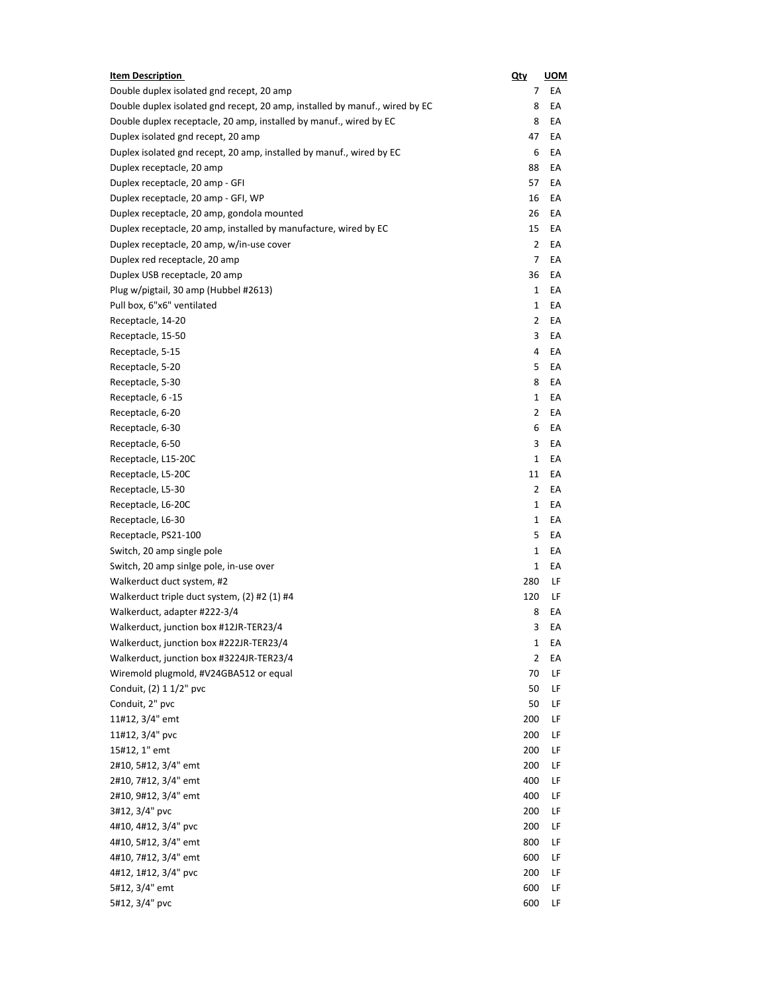| <b>Item Description</b>                                                     | Qty          | <u>UOM</u> |
|-----------------------------------------------------------------------------|--------------|------------|
| Double duplex isolated gnd recept, 20 amp                                   | 7            | EA         |
| Double duplex isolated gnd recept, 20 amp, installed by manuf., wired by EC | 8            | EA         |
| Double duplex receptacle, 20 amp, installed by manuf., wired by EC          | 8            | EA         |
| Duplex isolated gnd recept, 20 amp                                          | 47           | EA         |
| Duplex isolated gnd recept, 20 amp, installed by manuf., wired by EC        | 6            | EA         |
| Duplex receptacle, 20 amp                                                   | 88           | EA         |
| Duplex receptacle, 20 amp - GFI                                             | 57           | EA         |
| Duplex receptacle, 20 amp - GFI, WP                                         | 16           | EA         |
| Duplex receptacle, 20 amp, gondola mounted                                  | 26           | EA         |
| Duplex receptacle, 20 amp, installed by manufacture, wired by EC            | 15           | EA         |
| Duplex receptacle, 20 amp, w/in-use cover                                   | 2            | EA         |
| Duplex red receptacle, 20 amp                                               | 7            | EA         |
| Duplex USB receptacle, 20 amp                                               | 36           | EA         |
| Plug w/pigtail, 30 amp (Hubbel #2613)                                       | $\mathbf{1}$ | EA         |
| Pull box, 6"x6" ventilated                                                  | 1            | EA         |
| Receptacle, 14-20                                                           | 2            | EA         |
| Receptacle, 15-50                                                           | 3            | EA         |
| Receptacle, 5-15                                                            | 4            | EA         |
| Receptacle, 5-20                                                            | 5            | EA         |
| Receptacle, 5-30                                                            | 8            | EA         |
| Receptacle, 6 -15                                                           | 1            | EA         |
| Receptacle, 6-20                                                            | 2            | EA         |
| Receptacle, 6-30                                                            | 6            | EA         |
| Receptacle, 6-50                                                            | 3            | EA         |
| Receptacle, L15-20C                                                         | $\mathbf{1}$ | EA         |
| Receptacle, L5-20C                                                          | 11           | EA         |
| Receptacle, L5-30                                                           | 2            | EA         |
| Receptacle, L6-20C                                                          | 1            | EA         |
| Receptacle, L6-30                                                           | 1            | EA         |
| Receptacle, PS21-100                                                        | 5            | EA         |
| Switch, 20 amp single pole                                                  | 1            | EA         |
| Switch, 20 amp sinlge pole, in-use over                                     | 1            | EA         |
| Walkerduct duct system, #2                                                  | 280          | LF         |
| Walkerduct triple duct system, (2) #2 (1) #4                                | 120          | LF         |
| Walkerduct, adapter #222-3/4                                                | 8            | EA         |
| Walkerduct, junction box #12JR-TER23/4                                      | 3            | EA         |
| Walkerduct, junction box #222JR-TER23/4                                     | 1            | EA         |
| Walkerduct, junction box #3224JR-TER23/4                                    | 2            | EA         |
| Wiremold plugmold, #V24GBA512 or equal                                      | 70           | LF         |
| Conduit, (2) 1 1/2" pvc                                                     | 50           | LF         |
| Conduit, 2" pvc                                                             | 50           | LF         |
| 11#12, 3/4" emt                                                             | 200          | LF         |
| 11#12, 3/4" pvc                                                             | 200          | LF         |
| 15#12, 1" emt                                                               | 200          | LF         |
| 2#10, 5#12, 3/4" emt                                                        | 200          | LF         |
| 2#10, 7#12, 3/4" emt                                                        | 400          | LF         |
| 2#10, 9#12, 3/4" emt                                                        | 400          | LF         |
| 3#12, 3/4" pvc                                                              | 200          | LF         |
| 4#10, 4#12, 3/4" pvc                                                        | 200          | LF         |
| 4#10, 5#12, 3/4" emt                                                        | 800          | LF         |
| 4#10, 7#12, 3/4" emt                                                        | 600          | LF         |
| 4#12, 1#12, 3/4" pvc                                                        | 200          | LF         |
| 5#12, 3/4" emt                                                              | 600          | LF         |
| 5#12, 3/4" pvc                                                              | 600          | LF         |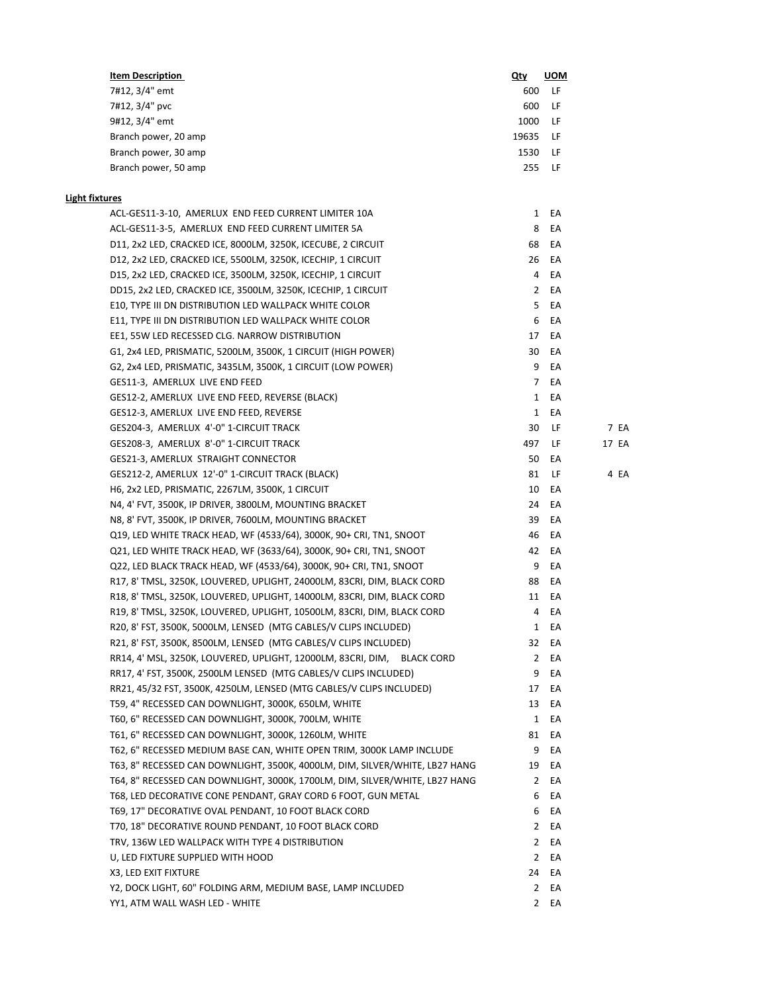| <b>Item Description</b> | Qty   | <b>UOM</b> |
|-------------------------|-------|------------|
| 7#12, 3/4" emt          | 600   | LF.        |
| 7#12, 3/4" pvc          | 600   | LF.        |
| 9#12, 3/4" emt          | 1000  | -LF        |
| Branch power, 20 amp    | 19635 | - LF       |
| Branch power, 30 amp    | 1530  | -LF        |
| Branch power, 50 amp    | 255   | LF.        |

## **Light fixtures**

| ACL-GES11-3-10, AMERLUX END FEED CURRENT LIMITER 10A                        |                | 1 EA  |       |
|-----------------------------------------------------------------------------|----------------|-------|-------|
| ACL-GES11-3-5, AMERLUX END FEED CURRENT LIMITER 5A                          | 8              | EA    |       |
| D11, 2x2 LED, CRACKED ICE, 8000LM, 3250K, ICECUBE, 2 CIRCUIT                | 68             | EA    |       |
| D12, 2x2 LED, CRACKED ICE, 5500LM, 3250K, ICECHIP, 1 CIRCUIT                | 26             | EA    |       |
| D15, 2x2 LED, CRACKED ICE, 3500LM, 3250K, ICECHIP, 1 CIRCUIT                | 4              | EA    |       |
| DD15, 2x2 LED, CRACKED ICE, 3500LM, 3250K, ICECHIP, 1 CIRCUIT               | $\mathbf{2}$   | EA    |       |
| E10, TYPE III DN DISTRIBUTION LED WALLPACK WHITE COLOR                      | 5              | EA    |       |
| E11, TYPE III DN DISTRIBUTION LED WALLPACK WHITE COLOR                      | 6              | EA    |       |
| EE1, 55W LED RECESSED CLG. NARROW DISTRIBUTION                              | 17             | EA    |       |
| G1, 2x4 LED, PRISMATIC, 5200LM, 3500K, 1 CIRCUIT (HIGH POWER)               | 30             | EA    |       |
| G2, 2x4 LED, PRISMATIC, 3435LM, 3500K, 1 CIRCUIT (LOW POWER)                | 9              | EA    |       |
| GES11-3, AMERLUX LIVE END FEED                                              | 7              | EA    |       |
| GES12-2, AMERLUX LIVE END FEED, REVERSE (BLACK)                             | $\mathbf{1}$   | EA    |       |
| GES12-3, AMERLUX LIVE END FEED, REVERSE                                     | $\mathbf{1}$   | EA    |       |
| GES204-3, AMERLUX 4'-0" 1-CIRCUIT TRACK                                     | 30             | LF    | 7 EA  |
| GES208-3, AMERLUX 8'-0" 1-CIRCUIT TRACK                                     | 497            | LF    | 17 EA |
| GES21-3, AMERLUX STRAIGHT CONNECTOR                                         | 50             | EA    |       |
| GES212-2, AMERLUX 12'-0" 1-CIRCUIT TRACK (BLACK)                            | 81             | LF    | 4 EA  |
| H6, 2x2 LED, PRISMATIC, 2267LM, 3500K, 1 CIRCUIT                            | 10             | EA    |       |
| N4, 4' FVT, 3500K, IP DRIVER, 3800LM, MOUNTING BRACKET                      | 24             | EA    |       |
| N8, 8' FVT, 3500K, IP DRIVER, 7600LM, MOUNTING BRACKET                      | 39             | EA    |       |
| Q19, LED WHITE TRACK HEAD, WF (4533/64), 3000K, 90+ CRI, TN1, SNOOT         | 46             | EA    |       |
| Q21, LED WHITE TRACK HEAD, WF (3633/64), 3000K, 90+ CRI, TN1, SNOOT         | 42             | EA    |       |
| Q22, LED BLACK TRACK HEAD, WF (4533/64), 3000K, 90+ CRI, TN1, SNOOT         | 9              | EA    |       |
| R17, 8' TMSL, 3250K, LOUVERED, UPLIGHT, 24000LM, 83CRI, DIM, BLACK CORD     | 88             | EA    |       |
| R18, 8' TMSL, 3250K, LOUVERED, UPLIGHT, 14000LM, 83CRI, DIM, BLACK CORD     |                | 11 EA |       |
| R19, 8' TMSL, 3250K, LOUVERED, UPLIGHT, 10500LM, 83CRI, DIM, BLACK CORD     | 4              | EA    |       |
| R20, 8' FST, 3500K, 5000LM, LENSED (MTG CABLES/V CLIPS INCLUDED)            | 1              | EA    |       |
| R21, 8' FST, 3500K, 8500LM, LENSED (MTG CABLES/V CLIPS INCLUDED)            | 32             | EA    |       |
| RR14, 4' MSL, 3250K, LOUVERED, UPLIGHT, 12000LM, 83CRI, DIM, BLACK CORD     | 2              | EA    |       |
| RR17, 4' FST, 3500K, 2500LM LENSED (MTG CABLES/V CLIPS INCLUDED)            | 9              | EA    |       |
| RR21, 45/32 FST, 3500K, 4250LM, LENSED (MTG CABLES/V CLIPS INCLUDED)        | 17             | EA    |       |
| T59, 4" RECESSED CAN DOWNLIGHT, 3000K, 650LM, WHITE                         | 13             | EA    |       |
| T60, 6" RECESSED CAN DOWNLIGHT, 3000K, 700LM, WHITE                         | $\mathbf{1}$   | EA    |       |
| T61, 6" RECESSED CAN DOWNLIGHT, 3000K, 1260LM, WHITE                        | 81             | EA    |       |
| T62, 6" RECESSED MEDIUM BASE CAN, WHITE OPEN TRIM, 3000K LAMP INCLUDE       | 9              | EA    |       |
| T63, 8" RECESSED CAN DOWNLIGHT, 3500K, 4000LM, DIM, SILVER/WHITE, LB27 HANG | 19             | EA    |       |
| T64, 8" RECESSED CAN DOWNLIGHT, 3000K, 1700LM, DIM, SILVER/WHITE, LB27 HANG |                | 2 EA  |       |
| T68, LED DECORATIVE CONE PENDANT, GRAY CORD 6 FOOT, GUN METAL               | 6              | EA    |       |
| T69, 17" DECORATIVE OVAL PENDANT, 10 FOOT BLACK CORD                        | 6              | EA    |       |
| T70, 18" DECORATIVE ROUND PENDANT, 10 FOOT BLACK CORD                       | $\mathbf{2}$   | EA    |       |
| TRV, 136W LED WALLPACK WITH TYPE 4 DISTRIBUTION                             | $\overline{2}$ | EA    |       |
| U, LED FIXTURE SUPPLIED WITH HOOD                                           | $\overline{2}$ | EA    |       |
| X3, LED EXIT FIXTURE                                                        | 24             | EA    |       |
| Y2, DOCK LIGHT, 60" FOLDING ARM, MEDIUM BASE, LAMP INCLUDED                 | $\mathbf{2}$   | EA    |       |
| YY1, ATM WALL WASH LED - WHITE                                              |                | 2 EA  |       |
|                                                                             |                |       |       |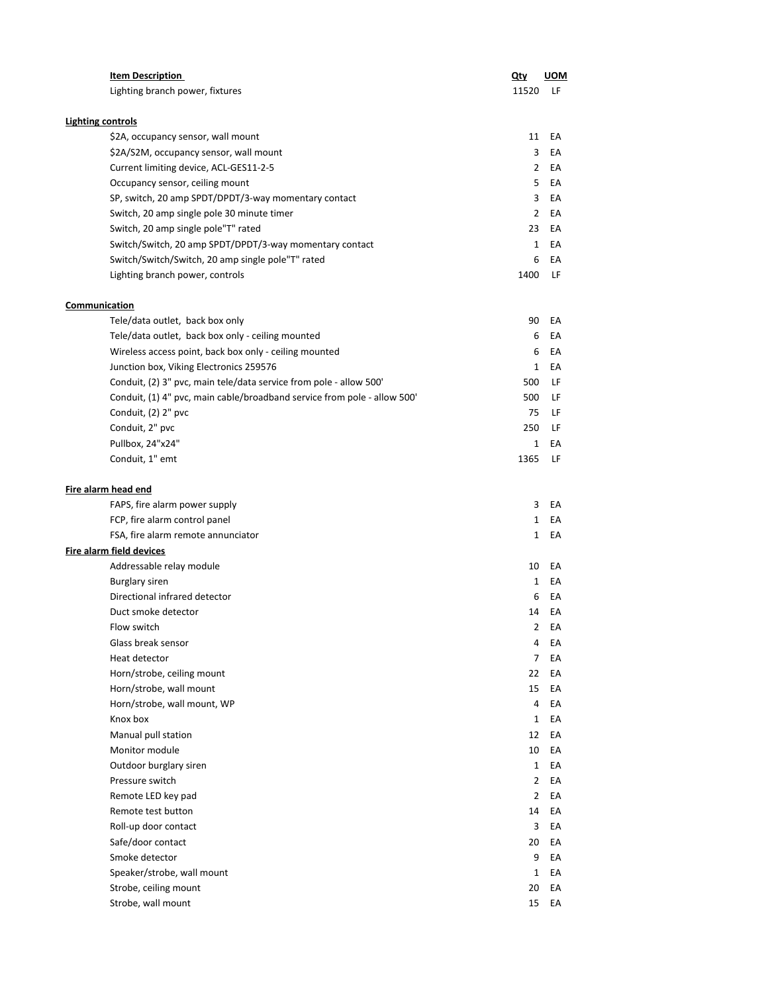|                          | <b>Item Description</b>                                                  | <u>Qty</u>     | <b>UOM</b> |
|--------------------------|--------------------------------------------------------------------------|----------------|------------|
|                          | Lighting branch power, fixtures                                          | 11520          | LF         |
| <b>Lighting controls</b> |                                                                          |                |            |
|                          | \$2A, occupancy sensor, wall mount                                       | 11             | EA         |
|                          | \$2A/S2M, occupancy sensor, wall mount                                   | 3              | EA         |
|                          | Current limiting device, ACL-GES11-2-5                                   | $\overline{2}$ | EA         |
|                          | Occupancy sensor, ceiling mount                                          | 5              | EA         |
|                          | SP, switch, 20 amp SPDT/DPDT/3-way momentary contact                     | 3              | EA         |
|                          | Switch, 20 amp single pole 30 minute timer                               | $\overline{2}$ | EA         |
|                          | Switch, 20 amp single pole"T" rated                                      | 23             | EA         |
|                          | Switch/Switch, 20 amp SPDT/DPDT/3-way momentary contact                  | $\mathbf{1}$   | EA         |
|                          | Switch/Switch/Switch, 20 amp single pole"T" rated                        | 6              | EA         |
|                          | Lighting branch power, controls                                          | 1400           | LF         |
| Communication            |                                                                          |                |            |
|                          | Tele/data outlet, back box only                                          | 90             | EA         |
|                          | Tele/data outlet, back box only - ceiling mounted                        | 6              | EA         |
|                          | Wireless access point, back box only - ceiling mounted                   | 6              | EA         |
|                          | Junction box, Viking Electronics 259576                                  | 1              | EA         |
|                          | Conduit, (2) 3" pvc, main tele/data service from pole - allow 500'       | 500            | LF         |
|                          | Conduit, (1) 4" pvc, main cable/broadband service from pole - allow 500' | 500            | LF         |
|                          | Conduit, (2) 2" pvc                                                      | 75             | LF         |
|                          | Conduit, 2" pvc                                                          | 250            | LF         |
|                          | Pullbox, 24"x24"                                                         | $\mathbf{1}$   | EA         |
|                          | Conduit, 1" emt                                                          | 1365           | LF         |
|                          |                                                                          |                |            |
| Fire alarm head end      |                                                                          |                |            |
|                          | FAPS, fire alarm power supply                                            | 3              | EA         |
|                          | FCP, fire alarm control panel                                            | $\mathbf{1}$   | EA         |
|                          | FSA, fire alarm remote annunciator                                       | $\mathbf{1}$   | EA         |
|                          | Fire alarm field devices                                                 |                |            |
|                          | Addressable relay module                                                 | 10             | EA         |
|                          | <b>Burglary siren</b>                                                    | $\mathbf{1}$   | EA         |
|                          | Directional infrared detector                                            | 6              | EA         |
|                          | Duct smoke detector                                                      | 14             | EA         |
|                          | Flow switch                                                              | $2^{\circ}$    | EA         |
|                          | Glass break sensor                                                       | 4              | EA         |
|                          | Heat detector                                                            | 7              | EA         |
|                          | Horn/strobe, ceiling mount                                               | 22             | EA         |
|                          | Horn/strobe, wall mount                                                  | 15             | EA         |
|                          | Horn/strobe, wall mount, WP                                              | 4              | EA         |
|                          | Knox box                                                                 | $\mathbf{1}$   | EA         |
|                          | Manual pull station                                                      | 12             | EA         |
|                          | Monitor module                                                           | 10             | EA         |
|                          | Outdoor burglary siren                                                   | 1              | EA         |
|                          | Pressure switch                                                          | 2              | EA         |
|                          | Remote LED key pad                                                       | 2              | EA         |
|                          | Remote test button                                                       | 14             | EA         |
|                          | Roll-up door contact                                                     | 3              | EA         |
|                          | Safe/door contact                                                        | 20             | EА         |
|                          | Smoke detector                                                           | 9              | EA         |
|                          | Speaker/strobe, wall mount                                               | 1              | EA         |
|                          | Strobe, ceiling mount                                                    | 20             | EA         |
|                          | Strobe, wall mount                                                       | 15             | EA         |